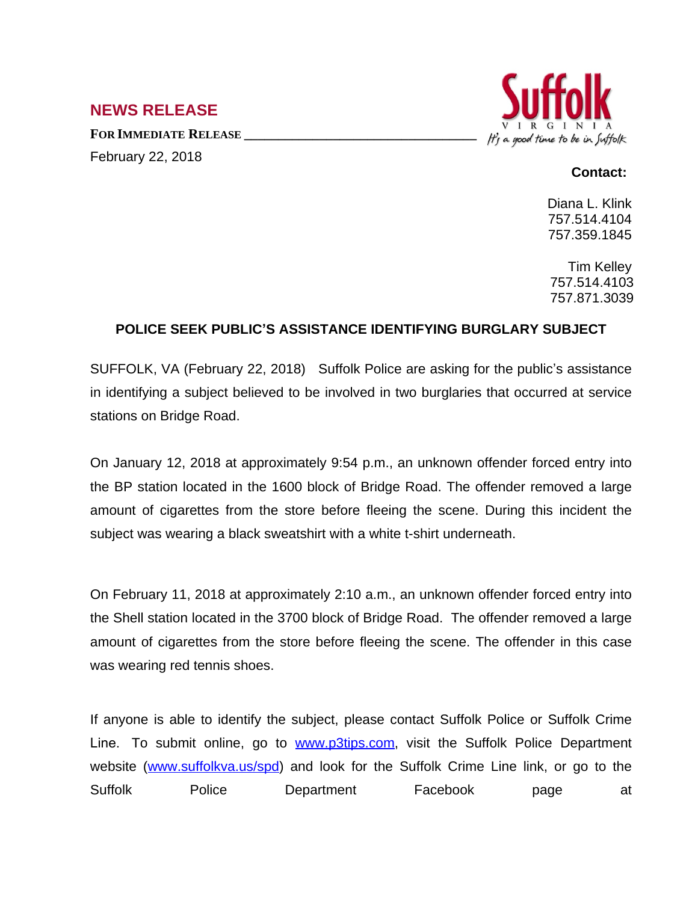## **NEWS RELEASE**

**FOR IMMEDIATE RELEASE \_\_\_\_\_\_\_\_\_\_\_\_\_\_\_\_\_\_\_\_\_\_\_\_\_\_\_\_\_\_\_\_\_\_** February 22, 2018



## **Contact:**

Diana L. Klink 757.514.4104 757.359.1845

Tim Kelley 757.514.4103 757.871.3039

## **POLICE SEEK PUBLIC'S ASSISTANCE IDENTIFYING BURGLARY SUBJECT**

SUFFOLK, VA (February 22, 2018) Suffolk Police are asking for the public's assistance in identifying a subject believed to be involved in two burglaries that occurred at service stations on Bridge Road.

On January 12, 2018 at approximately 9:54 p.m., an unknown offender forced entry into the BP station located in the 1600 block of Bridge Road. The offender removed a large amount of cigarettes from the store before fleeing the scene. During this incident the subject was wearing a black sweatshirt with a white t-shirt underneath.

On February 11, 2018 at approximately 2:10 a.m., an unknown offender forced entry into the Shell station located in the 3700 block of Bridge Road. The offender removed a large amount of cigarettes from the store before fleeing the scene. The offender in this case was wearing red tennis shoes.

If anyone is able to identify the subject, please contact Suffolk Police or Suffolk Crime Line. To submit online, go to **[www.p3tips.com](http://www.p3tips.com)**, visit the Suffolk Police Department website ([www.suffolkva.us/spd](http://www.suffolkva.us/spd)) and look for the Suffolk Crime Line link, or go to the Suffolk Police Department Facebook page at